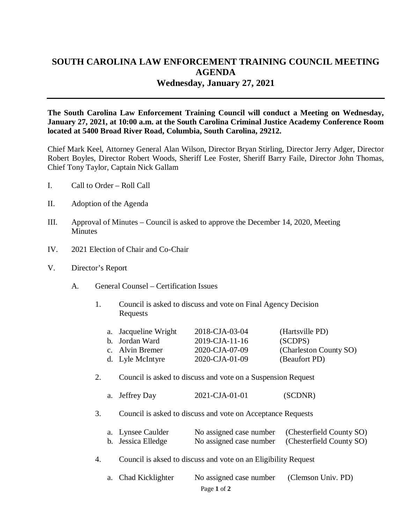## **SOUTH CAROLINA LAW ENFORCEMENT TRAINING COUNCIL MEETING AGENDA Wednesday, January 27, 2021**

**The South Carolina Law Enforcement Training Council will conduct a Meeting on Wednesday, January 27, 2021, at 10:00 a.m. at the South Carolina Criminal Justice Academy Conference Room located at 5400 Broad River Road, Columbia, South Carolina, 29212.** 

Chief Mark Keel, Attorney General Alan Wilson, Director Bryan Stirling, Director Jerry Adger, Director Robert Boyles, Director Robert Woods, Sheriff Lee Foster, Sheriff Barry Faile, Director John Thomas, Chief Tony Taylor, Captain Nick Gallam

- I. Call to Order Roll Call
- II. Adoption of the Agenda
- III. Approval of Minutes Council is asked to approve the December 14, 2020, Meeting **Minutes**
- IV. 2021 Election of Chair and Co-Chair
- V. Director's Report
	- A. General Counsel Certification Issues
		- 1. Council is asked to discuss and vote on Final Agency Decision Requests

| a. Jacqueline Wright | 2018-CJA-03-04 | (Hartsville PD)        |
|----------------------|----------------|------------------------|
| b. Jordan Ward       | 2019-CJA-11-16 | (SCDPS)                |
| c. Alvin Bremer      | 2020-CJA-07-09 | (Charleston County SO) |
| d. Lyle McIntyre     | 2020-CJA-01-09 | (Beaufort PD)          |

- 2. Council is asked to discuss and vote on a Suspension Request
	- a. Jeffrey Day 2021-CJA-01-01 (SCDNR)
- 3. Council is asked to discuss and vote on Acceptance Requests

| a. Lynsee Caulder  | No assigned case number (Chesterfield County SO) |
|--------------------|--------------------------------------------------|
| b. Jessica Elledge | No assigned case number (Chesterfield County SO) |

4. Council is aksed to discuss and vote on an Eligibility Request

| a. Chad Kicklighter | No assigned case number (Clemson Univ. PD) |  |
|---------------------|--------------------------------------------|--|
|                     | Page 1 of 2                                |  |